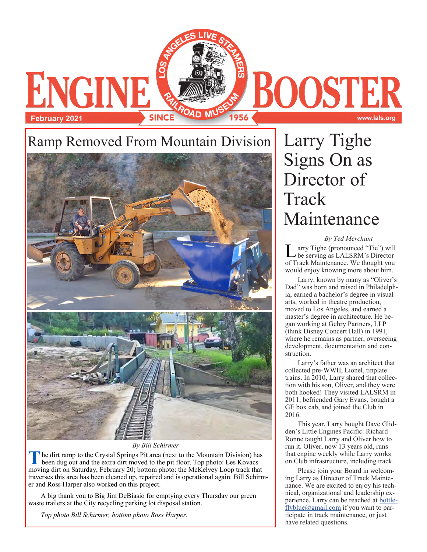

*By Bill Schirmer* 

**T** he dirt ramp to the Crystal Springs Pit area (next to the Mountain Division) has been dug out and the extra dirt moved to the pit floor. Top photo: Les Kovacs moving dirt on Saturday, February 20; bottom photo: the McKelvey Loop track that traverses this area has been cleaned up, repaired and is operational again. Bill Schirmer and Ross Harper also worked on this project.

A big thank you to Big Jim DeBiasio for emptying every Thursday our green waste trailers at the City recycling parking lot disposal station.

*Top photo Bill Schirmer, bottom photo Ross Harper.*

# Larry Tighe Signs On as Director of Track Maintenance

#### *By Ted Merchant*

www.lals.org

L arry Tighe (pronounced "Tie") will be serving as LALSRM's Director of Track Maintenance. We thought you would enjoy knowing more about him.

Larry, known by many as "Oliver's Dad" was born and raised in Philadelphia, earned a bachelor's degree in visual arts, worked in theatre production, moved to Los Angeles, and earned a master's degree in architecture. He began working at Gehry Partners, LLP (think Disney Concert Hall) in 1991, where he remains as partner, overseeing development, documentation and construction.

Larry's father was an architect that collected pre-WWII, Lionel, tinplate trains. In 2010, Larry shared that collection with his son, Oliver, and they were both hooked! They visited LALSRM in 2011, befriended Gary Evans, bought a GE box cab, and joined the Club in 2016.

This year, Larry bought Dave Glidden's Little Engines Pacific. Richard Ronne taught Larry and Oliver how to run it. Oliver, now 13 years old, runs that engine weekly while Larry works on Club infrastructure, including track.

Please join your Board in welcoming Larry as Director of Track Maintenance. We are excited to enjoy his technical, organizational and leadership experience. Larry can be reached at [bottle](mailto:bottleflyblue@gmail.com)[flyblue@gmail.com](mailto:bottleflyblue@gmail.com) if you want to participate in track maintenance, or just have related questions.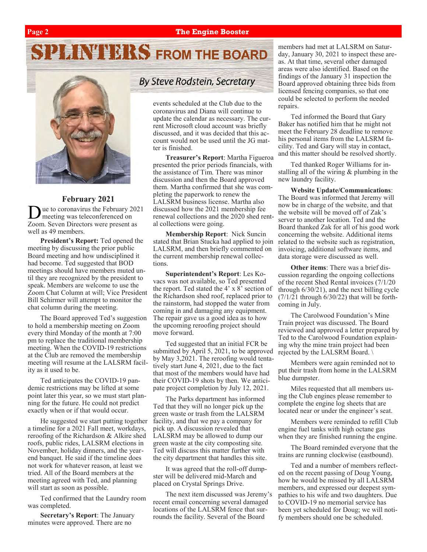#### **Page 2 The Engine Booster**

# **PLANTIFIRS FROM THE BOARD**



#### **February 2021**

 $\overline{D}$ ue to coronavirus the February 2021 meeting was teleconferenced on Zoom. Seven Directors were present as well as 49 members.

**President's Report:** Ted opened the meeting by discussing the prior public Board meeting and how undisciplined it had become. Ted suggested that BOD meetings should have members muted until they are recognized by the president to speak. Members are welcome to use the Zoom Chat Column at will; Vice President Bill Schirmer will attempt to monitor the chat column during the meeting.

The Board approved Ted's suggestion to hold a membership meeting on Zoom every third Monday of the month at 7:00 pm to replace the traditional membership meeting. When the COVID-19 restrictions at the Club are removed the membership meeting will resume at the LALSRM facility as it used to be.

Ted anticipates the COVID-19 pandemic restrictions may be lifted at some point later this year, so we must start planning for the future. He could not predict exactly when or if that would occur.

He suggested we start putting together a timeline for a 2021 Fall meet, workdays, reroofing of the Richardson & Alkire shed roofs, public rides, LALSRM elections in November, holiday dinners, and the yearend banquet. He said if the timeline does not work for whatever reason, at least we tried. All of the Board members at the meeting agreed with Ted, and planning will start as soon as possible.

Ted confirmed that the Laundry room was completed.

**Secretary's Report**: The January minutes were approved. There are no

### **By Steve Rodstein, Secretary**

events scheduled at the Club due to the coronavirus and Diana will continue to update the calendar as necessary. The current Microsoft cloud account was briefly discussed, and it was decided that this account would not be used until the JG matter is finished.

**Treasurer's Report**: Martha Figueroa presented the prior periods financials, with the assistance of Tim. There was minor discussion and then the Board approved them. Martha confirmed that she was completing the paperwork to renew the LALSRM business license. Martha also discussed how the 2021 membership fee renewal collections and the 2020 shed rental collections were going.

**Membership Report**: Nick Suncin stated that Brian Stucka had applied to join LALSRM, and then briefly commented on the current membership renewal collections.

**Superintendent's Report**: Les Kovacs was not available, so Ted presented the report. Ted stated the  $4' \times 8'$  section of the Richardson shed roof, replaced prior to the rainstorm, had stopped the water from coming in and damaging any equipment. The repair gave us a good idea as to how the upcoming reroofing project should move forward.

Ted suggested that an initial FCR be submitted by April 5, 2021, to be approved by May 3,2021. The reroofing would tentatively start June 4, 2021, due to the fact that most of the members would have had their COVID-19 shots by then. We anticipate project completion by July 12, 2021.

The Parks department has informed Ted that they will no longer pick up the green waste or trash from the LALSRM facility, and that we pay a company for pick up. A discussion revealed that LALSRM may be allowed to dump our green waste at the city composting site. Ted will discuss this matter further with the city department that handles this site.

It was agreed that the roll-off dumpster will be delivered mid-March and placed on Crystal Springs Drive.

The next item discussed was Jeremy's recent email concerning several damaged locations of the LALSRM fence that surrounds the facility. Several of the Board

members had met at LALSRM on Saturday, January 30, 2021 to inspect these areas. At that time, several other damaged areas were also identified. Based on the findings of the January 31 inspection the Board approved obtaining three bids from licensed fencing companies, so that one could be selected to perform the needed repairs.

Ted informed the Board that Gary Baker has notified him that he might not meet the February 28 deadline to remove his personal items from the LALSRM facility. Ted and Gary will stay in contact, and this matter should be resolved shortly.

Ted thanked Roger Williams for installing all of the wiring & plumbing in the new laundry facility.

**Website Update/Communications**: The Board was informed that Jeremy will now be in charge of the website, and that the website will be moved off of Zak's server to another location. Ted and the Board thanked Zak for all of his good work concerning the website. Additional items related to the website such as registration, invoicing, additional software items, and data storage were discussed as well.

**Other items**: There was a brief discussion regarding the ongoing collections of the recent Shed Rental invoices (7/1/20 through 6/30/21), and the next billing cycle  $(7/1/21$  through  $6/30/22$ ) that will be forthcoming in July.

The Carolwood Foundation's Mine Train project was discussed. The Board reviewed and approved a letter prepared by Ted to the Carolwood Foundation explaining why the mine train project had been rejected by the LALSRM Board. \

Members were again reminded not to put their trash from home in the LALSRM blue dumpster.

Miles requested that all members using the Club engines please remember to complete the engine log sheets that are located near or under the engineer's seat.

Members were reminded to refill Club engine fuel tanks with high octane gas when they are finished running the engine.

The Board reminded everyone that the trains are running clockwise (eastbound).

Ted and a number of members reflected on the recent passing of Doug Young, how he would be missed by all LALSRM members, and expressed our deepest sympathies to his wife and two daughters. Due to COVID-19 no memorial service has been yet scheduled for Doug; we will notify members should one be scheduled.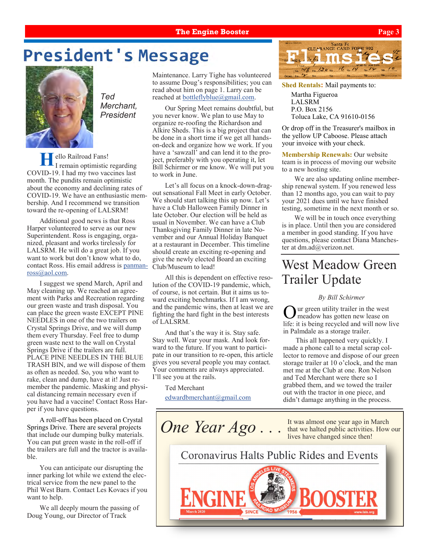#### **The Engine Booster Page 3**

## **President's Message**



*Ted Merchant, President*

ello Railroad Fans! I remain optimistic regarding COVID-19. I had my two vaccines last month. The pundits remain optimistic about the economy and declining rates of COVID-19. We have an enthusiastic membership. And I recommend we transition toward the re-opening of LALSRM!

Additional good news is that Ross Harper volunteered to serve as our new Superintendent. Ross is engaging, organized, pleasant and works tirelessly for LALSRM. He will do a great job. If you want to work but don't know what to do, contact Ross. His email address is [panman](mailto:panmanross@aol.com)[ross@aol.com.](mailto:panmanross@aol.com)

I suggest we spend March, April and May cleaning up. We reached an agreement with Parks and Recreation regarding our green waste and trash disposal. You can place the green waste EXCEPT PINE NEEDLES in one of the two trailers on Crystal Springs Drive, and we will dump them every Thursday. Feel free to dump green waste next to the wall on Crystal Springs Drive if the trailers are full. PLACE PINE NEEDLES IN THE BLUE TRASH BIN, and we will dispose of them as often as needed. So, you who want to rake, clean and dump, have at it! Just remember the pandemic. Masking and physical distancing remain necessary even if you have had a vaccine! Contact Ross Harper if you have questions.

A roll-off has been placed on Crystal Springs Drive. There are several projects that include our dumping bulky materials. You can put green waste in the roll-off if the trailers are full and the tractor is available.

You can anticipate our disrupting the inner parking lot while we extend the electrical service from the new panel to the Phil West Barn. Contact Les Kovacs if you want to help.

We all deeply mourn the passing of Doug Young, our Director of Track

Maintenance. Larry Tighe has volunteered to assume Doug's responsibilities; you can read about him on page 1. Larry can be reached at [bottleflyblue@gmail.com.](mailto:bottleflyblue@gmail.com)

Our Spring Meet remains doubtful, but you never know. We plan to use May to organize re-roofing the Richardson and Alkire Sheds. This is a big project that can be done in a short time if we get all handson-deck and organize how we work. If you have a 'sawzall' and can lend it to the project, preferably with you operating it, let Bill Schirmer or me know. We will put you to work in June.

Let's all focus on a knock-down-dragout sensational Fall Meet in early October. We should start talking this up now. Let's have a Club Halloween Family Dinner in late October. Our election will be held as usual in November. We can have a Club Thanksgiving Family Dinner in late November and our Annual Holiday Banquet at a restaurant in December. This timeline should create an exciting re-opening and give the newly elected Board an exciting Club/Museum to lead!

All this is dependent on effective resolution of the COVID-19 pandemic, which, of course, is not certain. But it aims us toward exciting benchmarks. If I am wrong, and the pandemic wins, then at least we are fighting the hard fight in the best interests of LALSRM.

And that's the way it is. Stay safe. Stay well. Wear your mask. And look forward to the future. If you want to participate in our transition to re-open, this article gives you several people you may contact. Your comments are always appreciated. I'll see you at the rails.

Ted Merchant

[edwardbmerchant@gmail.com](mailto:edwardbmerchant@gmail.com)



**Shed Rentals:** Mail payments to:

Martha Figueroa LALSRM P.O. Box 2156 Toluca Lake, CA 91610-0156

Or drop off in the Treasurer's mailbox in the yellow UP Caboose. Please attach your invoice with your check.

**Membership Renewals:** Our website team is in process of moving our website to a new hosting site.

We are also updating online membership renewal system. If you renewed less than 12 months ago, you can wait to pay your 2021 dues until we have finished testing, sometime in the next month or so.

We will be in touch once everything is in place. Until then you are considered a member in good standing. If you have questions, please contact Diana Manchester at dm.ad@verizon.net.

### West Meadow Green Trailer Update

#### *By Bill Schirmer*

 $\overline{O}$ ur green utility trailer in the west meadow has gotten new lease on life: it is being recycled and will now live in Palmdale as a storage trailer.

This all happened very quickly. I made a phone call to a metal scrap collector to remove and dispose of our green storage trailer at 10 o'clock, and the man met me at the Club at one. Ron Nelson and Ted Merchant were there so I grabbed them, and we towed the trailer out with the tractor in one piece, and didn't damage anything in the process.

**One Year Ago...** It was almost one year ago in March that we halted public activities. How our lives have changed since then! Coronavirus Halts Public Rides and Events